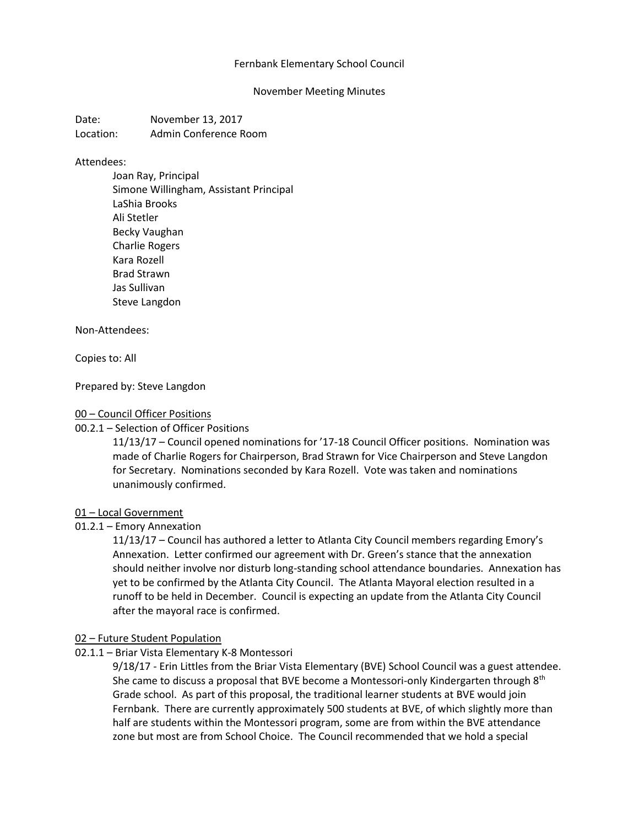## Fernbank Elementary School Council

### November Meeting Minutes

Date: November 13, 2017 Location: Admin Conference Room

#### Attendees:

Joan Ray, Principal Simone Willingham, Assistant Principal LaShia Brooks Ali Stetler Becky Vaughan Charlie Rogers Kara Rozell Brad Strawn Jas Sullivan Steve Langdon

#### Non-Attendees:

Copies to: All

Prepared by: Steve Langdon

### 00 – Council Officer Positions

00.2.1 – Selection of Officer Positions

11/13/17 – Council opened nominations for '17-18 Council Officer positions. Nomination was made of Charlie Rogers for Chairperson, Brad Strawn for Vice Chairperson and Steve Langdon for Secretary. Nominations seconded by Kara Rozell. Vote was taken and nominations unanimously confirmed.

#### 01 – Local Government

01.2.1 – Emory Annexation

11/13/17 – Council has authored a letter to Atlanta City Council members regarding Emory's Annexation. Letter confirmed our agreement with Dr. Green's stance that the annexation should neither involve nor disturb long-standing school attendance boundaries. Annexation has yet to be confirmed by the Atlanta City Council. The Atlanta Mayoral election resulted in a runoff to be held in December. Council is expecting an update from the Atlanta City Council after the mayoral race is confirmed.

## 02 – Future Student Population

02.1.1 – Briar Vista Elementary K-8 Montessori

9/18/17 - Erin Littles from the Briar Vista Elementary (BVE) School Council was a guest attendee. She came to discuss a proposal that BVE become a Montessori-only Kindergarten through  $8<sup>th</sup>$ Grade school. As part of this proposal, the traditional learner students at BVE would join Fernbank. There are currently approximately 500 students at BVE, of which slightly more than half are students within the Montessori program, some are from within the BVE attendance zone but most are from School Choice. The Council recommended that we hold a special